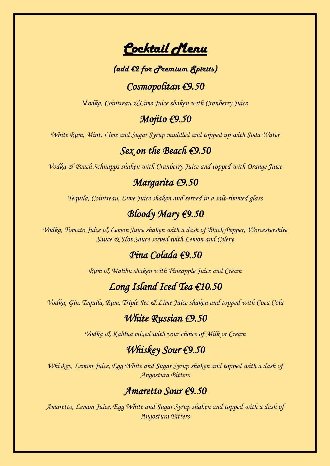*Cocktail Menu* 

#### *(add €2 for Premium Spirits)*

## *Cosmopolitan €9.50*

V*odka, Cointreau &Lime Juice shaken with Cranberry Juice*

#### *Mojito €9.50*

*White Rum, Mint, Lime and Sugar Syrup muddled and topped up with Soda Water*

## *Sex on the Beach €9.50*

*Vodka & Peach Schnapps shaken with Cranberry Juice and topped with Orange Juice*

#### *Margarita €9.50*

*Tequila, Cointreau, Lime Juice shaken and served in a salt-rimmed glass*

## *Bloody Mary €9.50*

*Vodka, Tomato Juice & Lemon Juice shaken with a dash of Black Pepper, Worcestershire Sauce & Hot Sauce served with Lemon and Celery*

## *Pina Colada €9.50*

*Rum & Malibu shaken with Pineapple Juice and Cream*

# *Long Island Iced Tea €10.50*

*Vodka, Gin, Tequila, Rum, Triple Sec & Lime Juice shaken and topped with Coca Cola*

#### *White Russian €9.50*

*Vodka & Kahlua mixed with your choice of Milk or Cream*

# *Whiskey Sour €9.50*

*Whiskey, Lemon Juice, Egg White and Sugar Syrup shaken and topped with a dash of Angostura Bitters*

#### *Amaretto Sour €9.50*

*Amaretto, Lemon Juice, Egg White and Sugar Syrup shaken and topped with a dash of Angostura Bitters*